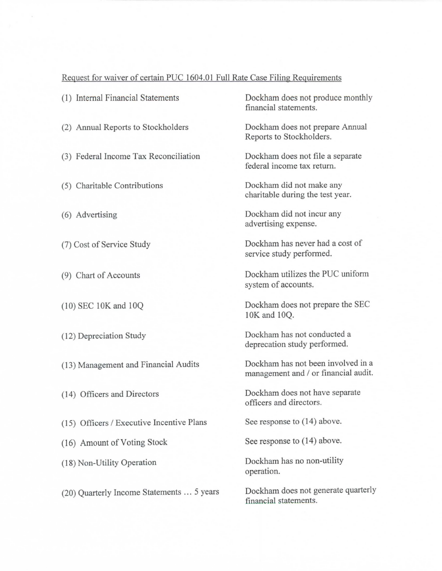## Request for waiver of certain PUC 1604.01 Full Rate Case Filing Requirements

| (1) Internal Financial Statements         | Dockham does not produce monthly<br>financial statements.                  |
|-------------------------------------------|----------------------------------------------------------------------------|
| (2) Annual Reports to Stockholders        | Dockham does not prepare Annual<br>Reports to Stockholders.                |
| (3) Federal Income Tax Reconciliation     | Dockham does not file a separate<br>federal income tax return.             |
| (5) Charitable Contributions              | Dockham did not make any<br>charitable during the test year.               |
| (6) Advertising                           | Dockham did not incur any<br>advertising expense.                          |
| (7) Cost of Service Study                 | Dockham has never had a cost of<br>service study performed.                |
| (9) Chart of Accounts                     | Dockham utilizes the PUC uniform<br>system of accounts.                    |
| $(10)$ SEC 10K and 10Q                    | Dockham does not prepare the SEC<br>10K and 10Q.                           |
| (12) Depreciation Study                   | Dockham has not conducted a<br>deprecation study performed.                |
| (13) Management and Financial Audits      | Dockham has not been involved in a<br>management and / or financial audit. |
| (14) Officers and Directors               | Dockham does not have separate<br>officers and directors.                  |
| (15) Officers / Executive Incentive Plans | See response to (14) above.                                                |
| (16) Amount of Voting Stock               | See response to $(14)$ above.                                              |
| (18) Non-Utility Operation                | Dockham has no non-utility<br>operation.                                   |
| (20) Quarterly Income Statements  5 years | Dockham does not generate quarterly<br>financial statements.               |